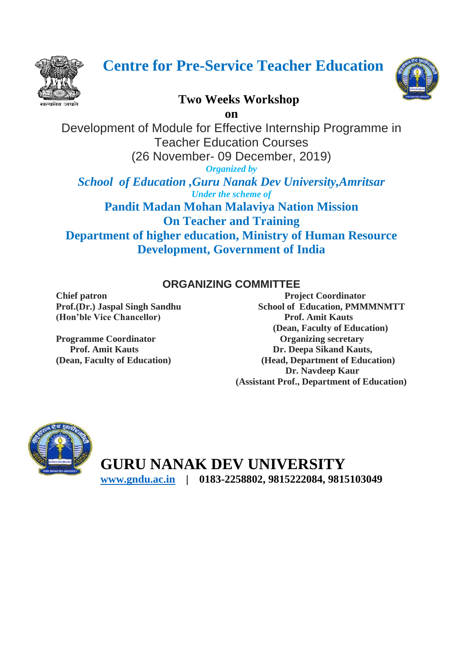

# **Centre for Pre-Service Teacher Education**

# **Two Weeks Workshop**

**on**

Development of Module for Effective Internship Programme in Teacher Education Courses (26 November- 09 December, 2019)

*Organized by*

*School of Education ,Guru Nanak Dev University,Amritsar Under the scheme of*

**Pandit Madan Mohan Malaviya Nation Mission On Teacher and Training Department of higher education, Ministry of Human Resource Development, Government of India**

# **ORGANIZING COMMITTEE**

**(Hon'ble Vice Chancellor) Prof. Amit Kauts**

**Chief patron Chief patron Project Coordinator** Prof.(Dr.) Jaspal Singh Sandhu School of Education, PMMMNMTT  **(Dean, Faculty of Education) Programme Coordinator Coordinator Coordinator Coordinator Coordinator Coordinator Coordinator Coordinator Coordinator Coordinator Coordinator Coordinator Coordinator Coordinator Coordinator Coordinator Coordinator Coordin Prof. Amit Kauts Dr. Deepa Sikand Kauts, (Dean, Faculty of Education) (Head, Department of Education) Dr. Navdeep Kaur (Assistant Prof., Department of Education)**



**GURU NANAK DEV UNIVERSITY [www.gndu.ac.in](http://www.gndu.ac.in/) | 0183-2258802, 9815222084, 9815103049** 

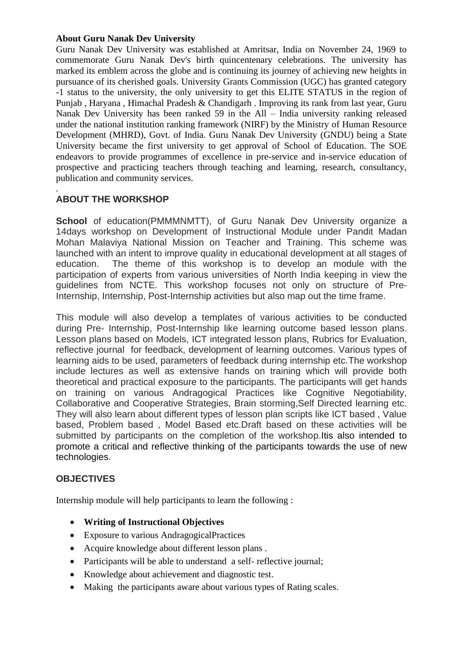#### **About Guru Nanak Dev University**

Guru Nanak Dev University was established at Amritsar, India on November 24, 1969 to commemorate Guru Nanak Dev's birth quincentenary celebrations. The university has marked its emblem across the globe and is continuing its journey of achieving new heights in pursuance of its cherished goals. University Grants Commission (UGC) has granted category -1 status to the university, the only university to get this ELITE STATUS in the region of Punjab , Haryana , Himachal Pradesh & Chandigarh . Improving its rank from last year, Guru Nanak Dev University has been ranked 59 in the All – India university ranking released under the national institution ranking framework (NIRF) by the Ministry of Human Resource Development (MHRD), Govt. of India. Guru Nanak Dev University (GNDU) being a State University became the first university to get approval of School of Education. The SOE endeavors to provide programmes of excellence in pre-service and in-service education of prospective and practicing teachers through teaching and learning, research, consultancy, publication and community services.

#### . **ABOUT THE WORKSHOP**

**School** of education(PMMMNMTT), of Guru Nanak Dev University organize a 14days workshop on Development of Instructional Module under Pandit Madan Mohan Malaviya National Mission on Teacher and Training. This scheme was launched with an intent to improve quality in educational development at all stages of education. The theme of this workshop is to develop an module with the participation of experts from various universities of North India keeping in view the guidelines from NCTE. This workshop focuses not only on structure of Pre-Internship, Internship, Post-Internship activities but also map out the time frame.

This module will also develop a templates of various activities to be conducted during Pre- Internship, Post-Internship like learning outcome based lesson plans. Lesson plans based on Models, ICT integrated lesson plans, Rubrics for Evaluation, reflective journal for feedback, development of learning outcomes. Various types of learning aids to be used, parameters of feedback during internship etc.The workshop include lectures as well as extensive hands on training which will provide both theoretical and practical exposure to the participants. The participants will get hands on training on various Andragogical Practices like Cognitive Negotiability, Collaborative and Cooperative Strategies, Brain storming,Self Directed learning etc. They will also learn about different types of lesson plan scripts like ICT based , Value based, Problem based , Model Based etc.Draft based on these activities will be submitted by participants on the completion of the workshop.Itis also intended to promote a critical and reflective thinking of the participants towards the use of new technologies.

### **OBJECTIVES**

Internship module will help participants to learn the following :

- **Writing of Instructional Objectives**
- Exposure to various AndragogicalPractices
- Acquire knowledge about different lesson plans .
- Participants will be able to understand a self- reflective journal;
- Knowledge about achievement and diagnostic test.
- Making the participants aware about various types of Rating scales.